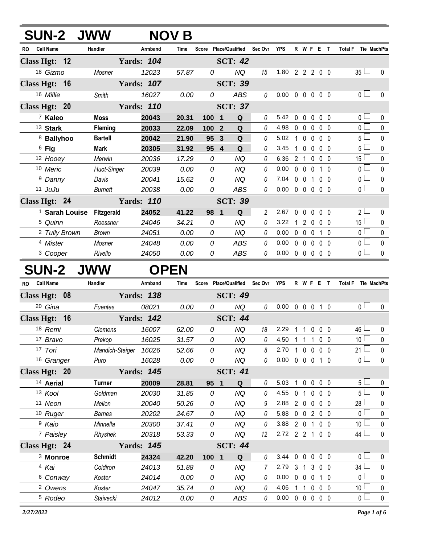| <b>SUN-2 JWW</b>              |                                      |                   | <b>NOV B</b> |                                |                                   |          |                            |              |                |                   |                |                               |             |
|-------------------------------|--------------------------------------|-------------------|--------------|--------------------------------|-----------------------------------|----------|----------------------------|--------------|----------------|-------------------|----------------|-------------------------------|-------------|
| RO Call Name                  | Handler                              | Armband           | Time         |                                | Score Place/Qualified Sec Ovr YPS |          |                            |              |                |                   | R W F E T      | <b>Total F</b> Tie MachPts    |             |
| Class Hgt: 12                 |                                      | <b>Yards: 104</b> |              |                                | <b>SCT: 42</b>                    |          |                            |              |                |                   |                |                               |             |
| 18 Gizmo                      | Mosner                               | 12023             | 57.87        | 0                              | <b>NQ</b>                         | 15       | 1.80 2 2 2 0 0             |              |                |                   |                | $35 \Box$                     | 0           |
| Class Hgt: 16                 |                                      | <b>Yards: 107</b> |              |                                | <b>SCT: 39</b>                    |          |                            |              |                |                   |                |                               |             |
| 16 Millie                     | Smith                                | 16027             | 0.00         | 0                              | <b>ABS</b>                        | 0        | $0.00 \t0 \t0 \t0 \t0 \t0$ |              |                |                   |                | 0 <sub>1</sub>                | $\pmb{0}$   |
| Class Hgt: 20                 |                                      | <b>Yards: 110</b> |              |                                | <b>SCT: 37</b>                    |          |                            |              |                |                   |                |                               |             |
| <sup>7</sup> Kaleo            | Moss                                 | 20043             | 20.31        | 100<br>$\overline{\mathbf{1}}$ | ${\bf Q}$                         | 0        | 5.42                       | 0            | $\mathbf 0$    | $\mathbf 0$       | $0\quad 0$     | 0 <sub>0</sub>                | 0           |
| 13 Stark                      | Fleming                              | 20033             | 22.09        | 100                            | Q<br>$\overline{2}$               | 0        | 4.98                       |              |                | $0\quad 0\quad 0$ | 0 <sub>0</sub> | $\overline{0}$                | 0           |
| 8 Ballyhoo                    | <b>Bartell</b>                       | 20042             | 21.90        | 95                             | ${\bf Q}$<br>3                    | 0        | 5.02                       |              |                | $1 0 0$           | 0 <sub>0</sub> | 5 <sub>1</sub>                | $\mathbf 0$ |
| <sup>6</sup> Fig              | <b>Mark</b>                          | 20305             | 31.92        | 95 4                           | Q                                 | 0        | 3.45                       | $\mathbf{1}$ | $\mathbf 0$    | $\mathbf 0$       | $0\quad 0$     | 5 <sub>0</sub>                | $\mathbf 0$ |
| 12 Hooey                      | Merwin                               | 20036             | 17.29        | 0                              | <b>NQ</b>                         | 0        | 6.36                       |              | 2 <sub>1</sub> | $\mathbf 0$       | 0 <sub>0</sub> | 15 $\Box$                     | 0           |
| 10 Meric                      | Huot-Singer                          | 20039             | 0.00         | 0                              | <b>NQ</b>                         | 0        | 0.00                       |              |                | $0\quad 0\quad 0$ | $1\quad0$      | 0 <sup>1</sup>                | $\pmb{0}$   |
| <sup>9</sup> Danny            | Davis                                | 20041             | 15.62        | 0                              | <b>NQ</b>                         | 0        | 7.04                       |              |                |                   | 0 0 1 0 0      | 0 <sub>1</sub>                | $\pmb{0}$   |
| 11 JuJu                       | <b>Burnett</b>                       | 20038             | 0.00         | 0                              | <b>ABS</b>                        | 0        | 0.00                       |              |                |                   | 00000          | $\overline{0}$ $\Box$         | $\pmb{0}$   |
| Class Hgt: 24                 |                                      | <b>Yards: 110</b> |              |                                | <b>SCT: 39</b>                    |          |                            |              |                |                   |                |                               |             |
|                               | <sup>1</sup> Sarah Louise Fitzgerald | 24052             | 41.22        | 98 1                           | ${\bf Q}$                         | 2        | 2.67                       |              |                |                   | 00000          | 2 <sub>2</sub>                | 0           |
| 5 Quinn                       | Roessner                             | 24046             | 34.21        | 0                              | <b>NQ</b>                         | 0        | 3.22                       | $\mathbf{1}$ |                |                   | 2000           | $15\Box$                      | $\pmb{0}$   |
| <sup>2</sup> Tully Brown      | <b>Brown</b>                         | 24051             | 0.00         | 0                              | <b>NQ</b>                         | 0        | 0.00                       |              |                | $0\quad 0\quad 0$ | $1\quad0$      | 0 <sub>0</sub>                | $\pmb{0}$   |
| <sup>4</sup> Mister           | Mosner                               | 24048             | 0.00         | 0                              | <b>ABS</b>                        | 0        | 0.00                       |              |                |                   | 00000          | 0 <sub>0</sub>                | $\pmb{0}$   |
| <sup>3</sup> Cooper           | Rivello                              | 24050             | 0.00         | 0                              | ABS                               | 0        | $0.00 \t0 \t0 \t0 \t0 \t0$ |              |                |                   |                | 0 <sub>0</sub>                | $\pmb{0}$   |
| <b>SUN-2</b>                  | <b>JWW</b>                           |                   | <b>OPEN</b>  |                                |                                   |          |                            |              |                |                   |                |                               |             |
| <b>Call Name</b><br><b>RO</b> | Handler                              | Armband           | Time         |                                | Score Place/Qualified             | Sec Ovr  | <b>YPS</b>                 |              |                |                   | R W F E T      | Tie MachPts<br><b>Total F</b> |             |
| Class Hgt: 08                 |                                      | <b>Yards: 138</b> |              |                                | <b>SCT: 49</b>                    |          |                            |              |                |                   |                |                               |             |
| 20 Gina                       | Fuentes                              | 08021             | 0.00         | 0                              | <b>NQ</b>                         | $\it{0}$ | $0.00 \t0 \t0 \t0 \t1 \t0$ |              |                |                   |                | 0 <sub>0</sub>                | $\mathbf 0$ |
| Class Hgt: 16                 |                                      | <b>Yards: 142</b> |              |                                | <b>SCT: 44</b>                    |          |                            |              |                |                   |                |                               |             |
| 18 Remi                       | Clemens                              | 16007             | 62.00        | 0                              | <b>NQ</b>                         | 18       | 2.29                       | 11000        |                |                   |                | $46 \Box$                     | 0           |
| 17 Bravo                      | Prekop                               | 16025             | 31.57        | 0                              | <b>NQ</b>                         | 0        | 4.50                       |              |                |                   | 1 1 1 0 0      | 10 <sup>1</sup>               | 0           |
| 17 Tori                       | Mandich-Steiger                      | 16026             | 52.66        | 0                              | <b>NQ</b>                         | 8        | 2.70                       |              |                |                   | 10000          | 21 $\Box$                     | 0           |
| 16 Granger                    | Puro                                 | 16028             | 0.00         | 0                              | <b>NQ</b>                         | 0        | 0.00                       |              |                |                   | 0 0 0 1 0      | 0 <sub>0</sub>                | 0           |
| Class Hgt: 20                 |                                      | <b>Yards: 145</b> |              |                                | <b>SCT: 41</b>                    |          |                            |              |                |                   |                |                               |             |
| 14 Aerial                     | <b>Turner</b>                        | 20009             | 28.81        | 95 1                           | Q                                 | 0        | 5.03                       |              |                |                   | 1 0 0 0 0      | 5 <sub>1</sub>                | 0           |
| 13 Kool                       | Goldman                              | 20030             | 31.85        | 0                              | <b>NQ</b>                         | 0        | 4.55                       |              | 0 <sub>1</sub> | $\mathbf 0$       | $0\quad 0$     | 5 <sup>1</sup>                | 0           |
| 11 Neon                       | Mellon                               | 20040             | 50.26        | 0                              | <b>NQ</b>                         | 9        | 2.88                       |              |                |                   | 2 0 0 0 0      | 28                            | 0           |
| 10 Ruger                      | <b>Barnes</b>                        | 20202             | 24.67        | 0                              | <b>NQ</b>                         | 0        | 5.88                       |              |                |                   | 0 0 2 0 0      | 0 L                           | 0           |
| <sup>9</sup> Kaio             | Minnella                             | 20300             | 37.41        | 0                              | <b>NQ</b>                         | 0        | 3.88                       |              |                |                   | 2 0 1 0 0      | 10 <sup>1</sup>               | 0           |
| 7 Paisley                     | Rhyshek                              | 20318             | 53.33        | 0                              | NQ                                | 12       | 2.72 2 2 1                 |              |                |                   | $0\quad 0$     | 44 L                          | 0           |
| Class Hgt: 24                 |                                      | <b>Yards: 145</b> |              |                                | <b>SCT: 44</b>                    |          |                            |              |                |                   |                |                               |             |
| <sup>3</sup> Monroe           | <b>Schmidt</b>                       | 24324             | 42.20        | 100 1                          | Q                                 | 0        | 3.44                       |              |                |                   | 0 0 0 0 0      | 0 <sub>0</sub>                | 0           |
| 4 Kai                         | Coldiron                             | 24013             | 51.88        | 0                              | <b>NQ</b>                         | 7        | 2.79                       |              | 3 <sub>1</sub> | $\mathbf{3}$      | $0\quad 0$     | 34 <sup>1</sup>               | 0           |
| 6 Conway                      | Koster                               | 24014             | 0.00         | 0                              | <b>NQ</b>                         | 0        | 0.00                       |              |                | $0\quad 0\quad 0$ | $1\quad0$      | 0 <sup>1</sup>                | 0           |
| <sup>2</sup> Owens            | Koster                               | 24047             | 35.74        | 0                              | <b>NQ</b>                         | 0        | 4.06                       |              |                |                   | 1 1 0 0 0      | 10 <sup>L</sup>               | $\pmb{0}$   |
| <sup>5</sup> Rodeo            | Staivecki                            | 24012             | 0.00         | 0                              | ABS                               | 0        | 0.00                       |              |                |                   | 00000          | 0 <sub>1</sub>                | $\pmb{0}$   |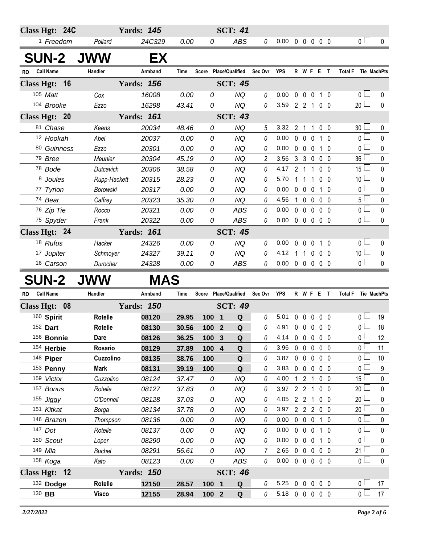|           | Class Hgt: 24C       |              | <b>Yards: 145</b> |             |                | <b>SCT: 41</b>         |                |                            |                |                   |              |                |                               |                    |
|-----------|----------------------|--------------|-------------------|-------------|----------------|------------------------|----------------|----------------------------|----------------|-------------------|--------------|----------------|-------------------------------|--------------------|
|           | <sup>1</sup> Freedom | Pollard      | 24C329            | 0.00        | 0              | <b>ABS</b>             | 0              | 0.00                       | $00000$        |                   |              |                | 0 <sub>0</sub>                | $\mathbf{0}$       |
|           | <b>SUN-2</b>         | <b>JWW</b>   | EX                |             |                |                        |                |                            |                |                   |              |                |                               |                    |
| <b>RO</b> | <b>Call Name</b>     | Handler      | Armband           | Time        | <b>Score</b>   | <b>Place/Qualified</b> | Sec Ovr        | <b>YPS</b>                 |                |                   |              | R W F E T      | <b>Total F</b>                | <b>Tie MachPts</b> |
|           | Class Hgt: 16        |              | <b>Yards: 156</b> |             |                | <b>SCT: 45</b>         |                |                            |                |                   |              |                |                               |                    |
|           | 105 Matt             | Cox          | 16008             | 0.00        | 0              | <b>NQ</b>              | 0              | 0.00                       | $\mathbf 0$    | $\mathbf 0$       | $\mathbf 0$  | $1\quad0$      | 0 <sub>1</sub>                | $\mathbf{0}$       |
|           | 104 Brooke           | Ezzo         | 16298             | 43.41       | 0              | <b>NQ</b>              | $\theta$       | 3.59 2 2 1 0 0             |                |                   |              |                | $20$ $\Box$                   | $\mathbf{0}$       |
|           | Class Hgt: 20        |              | <b>Yards: 161</b> |             |                | <b>SCT: 43</b>         |                |                            |                |                   |              |                |                               |                    |
|           | 81 Chase             | Keens        | 20034             | 48.46       | 0              | <b>NQ</b>              | 5              | 3.32                       | $\overline{2}$ | -1                | 1            | 0 <sub>0</sub> | 30 <sup>1</sup>               | 0                  |
|           | 12 Hookah            | Abel         | 20037             | 0.00        | 0              | <b>NQ</b>              | 0              | 0.00                       | $\mathbf 0$    | $\mathbf 0$       | $\mathbf 0$  | $1\quad0$      | $\overline{0}$                | 0                  |
|           | 80 Guinness          | Ezzo         | 20301             | 0.00        | 0              | <b>NQ</b>              | 0              | 0.00                       | $\mathbf 0$    | $\mathbf 0$       | $\mathbf{0}$ | $1\quad0$      | $\Omega$                      | $\pmb{0}$          |
|           | 79 Bree              | Meunier      | 20304             | 45.19       | 0              | <b>NQ</b>              | $\overline{c}$ | 3.56                       |                | 3 <sup>3</sup>    | 0            | 0 <sub>0</sub> | 36                            | $\mathbf 0$        |
|           | 78 Bode              | Dutcavich    | 20306             | 38.58       | $\Omega$       | <b>NQ</b>              | 0              | 4.17                       |                | 2 <sub>1</sub>    | 1            | 0 <sub>0</sub> | 15                            | 0                  |
|           | 8 Joules             | Rupp-Hackett | 20315             | 28.23       | 0              | <b>NQ</b>              | 0              | 5.70                       |                | $1 \t1 \t1$       |              | $0\quad 0$     | 10 <sup>1</sup>               | $\mathbf 0$        |
|           | 77 Tyrion            | Borowski     | 20317             | 0.00        | 0              | <b>NQ</b>              | 0              | 0.00                       |                | $0\quad 0\quad 0$ |              | $1\quad0$      | 0 <sub>1</sub>                | 0                  |
|           | 74 Bear              | Caffrey      | 20323             | 35.30       | 0              | <b>NQ</b>              | 0              | 4.56                       | $\mathbf{1}$   | $\overline{0}$    | $\mathbf{0}$ | $0\quad 0$     | 5 <sup>1</sup>                | $\pmb{0}$          |
|           | 76 Zip Tie           | Rocco        | 20321             | 0.00        | 0              | ABS                    | 0              | 0.00                       | $\mathbf{0}$   | $\mathbf 0$       | $\mathbf{0}$ | 0 <sub>0</sub> | $\overline{0}$                | $\mathbf 0$        |
|           | 75 Spyder            | Frank        | 20322             | 0.00        | $\overline{O}$ | <b>ABS</b>             | 0              | 0.00                       |                | $0\quad 0\quad 0$ |              | 0 <sub>0</sub> | $\overline{0}$                | $\Omega$           |
|           | Class Hgt: 24        |              | <b>Yards: 161</b> |             |                | <b>SCT: 45</b>         |                |                            |                |                   |              |                |                               |                    |
|           | 18 Rufus             | Hacker       | 24326             | 0.00        | 0              | <b>NQ</b>              | 0              | 0.00                       | $\mathbf 0$    | $0\quad 0$        |              | $1\quad0$      | 0 <sub>l</sub>                | $\mathbf 0$        |
|           | 17 Jupiter           | Schmoyer     | 24327             | 39.11       | 0              | <b>NQ</b>              | 0              | 4.12                       |                |                   |              | 11000          | 10 <sup>1</sup>               | $\mathbf 0$        |
|           | 16 Carson            | Durocher     | 24328             | 0.00        | 0              | <b>ABS</b>             | 0              | $0.00 \t0 \t0 \t0 \t0 \t0$ |                |                   |              |                | 0 <sub>0</sub>                | $\mathbf{0}$       |
|           | <b>SUN-2</b>         | <b>JWW</b>   | <b>MAS</b>        |             |                |                        |                |                            |                |                   |              |                |                               |                    |
| <b>RO</b> | <b>Call Name</b>     | Handler      | Armband           | <b>Time</b> |                | Score Place/Qualified  | Sec Ovr YPS    |                            |                |                   |              | R W F E T      | Tie MachPts<br><b>Total F</b> |                    |
|           | Class Hgt: 08        |              | <b>Yards: 150</b> |             |                | <b>SCT: 49</b>         |                |                            |                |                   |              |                | $\Box$                        |                    |

| Class Hgt: 08 |               | <b>Yards: 750</b> |       |       | SCI: 49                      |          |      |                |                              |                   |          |                       |              |
|---------------|---------------|-------------------|-------|-------|------------------------------|----------|------|----------------|------------------------------|-------------------|----------|-----------------------|--------------|
| 160 Spirit    | Rotelle       | 08120             | 29.95 | 100   | Q<br>$\overline{\mathbf{1}}$ | $\theta$ | 5.01 | $\mathbf{0}$   | $\mathbf{0}$<br>$\mathbf{0}$ | $0\quad 0$        |          | 0 <sub>0</sub>        | 19           |
| 152 Dart      | Rotelle       | 08130             | 30.56 | 100   | Q<br>$\overline{2}$          | 0        | 4.91 | $\Omega$       | $\mathbf{0}$<br>$\Omega$     | 0 <sub>0</sub>    |          | 0 <sub>1</sub>        | 18           |
| 156 Bonnie    | Dare          | 08126             | 36.25 | 100   | Q<br>$\mathbf{3}$            | 0        | 4.14 | $\Omega$       | $\Omega$<br>$\Omega$         | $0\quad 0$        |          | 0 <sub>0</sub>        | 12           |
| 154 Herbie    | Rosario       | 08129             | 37.89 | 100   | Q<br>-4                      | 0        | 3.96 | $\Omega$       | $\Omega$<br>$\Omega$         | $0\quad 0$        |          | 0 <sub>1</sub>        | 11           |
| 148 Piper     | Cuzzolino     | 08135             | 38.76 | 100   | Q                            | 0        | 3.87 | $\Omega$       | $\Omega$<br>$\Omega$         | $0\quad 0$        |          | 0 <sub>1</sub>        | 10           |
| 153 Penny     | Mark          | 08131             | 39.19 | 100   | Q                            | 0        | 3.83 | $\Omega$       | $\Omega$<br>$\Omega$         | $0\quad 0$        |          | $\overline{0}$ $\Box$ | 9            |
| 159 Victor    | Cuzzolino     | 08124             | 37.47 | 0     | <b>NQ</b>                    | 0        | 4.00 |                | 2                            | $0\quad 0$        |          | 15 <sup>1</sup>       | $\mathbf{0}$ |
| 157 Bonus     | Rotelle       | 08127             | 37.83 | 0     | ΝQ                           | 0        | 3.97 | 2 <sub>2</sub> |                              | 0 <sub>0</sub>    |          | $20$ $\Box$           | $\mathbf{0}$ |
| 155 Jiggy     | O'Donnell     | 08128             | 37.03 | 0     | ΝQ                           | 0        | 4.05 | 2              | 2                            | $0\quad 0$        |          | $_{20}$ $\Box$        | $\mathbf{0}$ |
| 151 Kitkat    | Borga         | 08134             | 37.78 | 0     | NQ                           | $\theta$ | 3.97 | 2 <sub>2</sub> | 2                            | $0\quad 0$        |          | $_{20}$ $\square$     | $\mathbf{0}$ |
| 146 Brazen    | Thompson      | 08136             | 0.00  | 0     | NQ                           | 0        | 0.00 | $\Omega$       | $\Omega$<br>$\Omega$         |                   | $\Omega$ | $\overline{0}$        | $\mathbf{0}$ |
| 147 Dot       | Rotelle       | 08137             | 0.00  | 0     | NQ                           | 0        | 0.00 | $\Omega$       | $\Omega$<br>$\Omega$         |                   | $\Omega$ | $_0$ $\Box$           | $\mathbf{0}$ |
| 150 Scout     | Loper         | 08290             | 0.00  | 0     | NQ                           | $\theta$ | 0.00 | $\Omega$       | $\Omega$<br>$\Omega$         |                   | $\Omega$ | $_0$ $\Box$           | $\Omega$     |
| 149 Mia       | <b>Buchel</b> | 08291             | 56.61 | 0     | ΝQ                           |          | 2.65 | $\mathbf{0}$   | $\mathbf{0}$<br>$\Omega$     | $0\quad 0$        |          | $21 \Box$             | $\mathbf{0}$ |
| 158 Koga      | Kato          | 08123             | 0.00  | 0     | ABS                          | $\theta$ | 0.00 | $\mathbf{0}$   | $\mathbf{0}$                 | $0\quad 0\quad 0$ |          | $\overline{0}$        | $\Omega$     |
| Class Hgt: 12 |               | <b>Yards: 150</b> |       |       | <b>SCT: 46</b>               |          |      |                |                              |                   |          |                       |              |
| 132 Dodge     | Rotelle       | 12150             | 28.57 | 100   | Q<br>$\blacksquare$          | 0        | 5.25 | $\Omega$       | $\Omega$<br>$\mathbf{0}$     | $0\quad 0$        |          | 0 <sup>1</sup>        | 17           |
| 130 BB        | <b>Visco</b>  | 12155             | 28.94 | 100 2 | $\mathbf Q$                  | 0        | 5.18 | $\mathbf{0}$   | $\mathbf{0}$<br>$\mathbf{0}$ | $0\quad 0$        |          | 0 <sub>1</sub>        | 17           |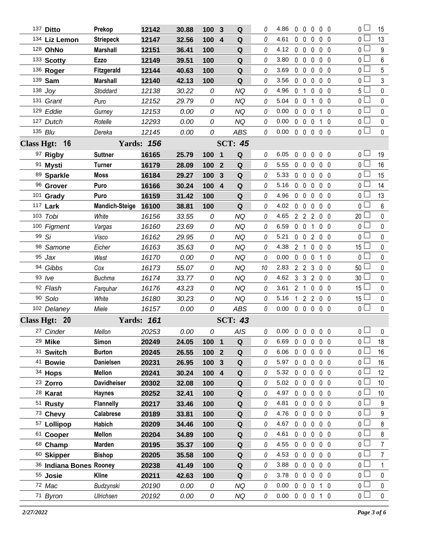|                   | 137 Ditto               | Prekop                | 12142             | 30.88 | 100              | $\mathbf{3}$            | Q              | 0  | 4.86               | $\mathbf 0$    | $\mathbf 0$         | $\mathbf 0$              | $0\quad 0$     | 0 <sub>0</sub>  | 15                      |
|-------------------|-------------------------|-----------------------|-------------------|-------|------------------|-------------------------|----------------|----|--------------------|----------------|---------------------|--------------------------|----------------|-----------------|-------------------------|
|                   | 134 Liz Lemon           | <b>Striepeck</b>      | 12147             | 32.56 | 100              | $\overline{\mathbf{4}}$ | ${\bf Q}$      | 0  | 4.61               | $\mathbf{0}$   | $\mathbf 0$         | 0                        | 0 <sub>0</sub> | $\overline{0}$  | 13                      |
|                   | 128 OhNo                | <b>Marshall</b>       | 12151             | 36.41 | 100              |                         | $\mathbf Q$    | 0  | 4.12               | $\mathbf 0$    | $\mathbf 0$         | $\mathbf 0$              | 0 <sub>0</sub> | 0 <sub>0</sub>  | $9\,$                   |
|                   | 133 Scotty              | <b>Ezzo</b>           | 12149             | 39.51 | 100              |                         | ${\bf Q}$      | 0  | 3.80               | $\mathbf 0$    | $\mathbf 0$         | 0                        | 0 <sub>0</sub> | 0 <sub>0</sub>  | 6                       |
|                   | 136 Roger               | Fitzgerald            | 12144             | 40.63 | 100              |                         | ${\bf Q}$      | 0  | 3.69               | $\mathbf 0$    | $\mathbf 0$         | $\mathbf{0}$             | 0 <sub>0</sub> | 0 L             | 5                       |
|                   | 139 Sam                 | <b>Marshall</b>       | 12140             | 42.13 | 100              |                         | Q              | 0  | 3.56               | $\mathbf 0$    | $\mathbf 0$         | 0                        | $0\quad 0$     | 0 <sup>1</sup>  | 3                       |
|                   | 138 Joy                 | Stoddard              | 12138             | 30.22 | 0                |                         | <b>NQ</b>      | 0  | 4.96               | 0 <sub>1</sub> |                     | 0                        | 0 <sub>0</sub> | 5 l             | 0                       |
|                   | 131 Grant               | Puro                  | 12152             | 29.79 | 0                |                         | <b>NQ</b>      | 0  | 5.04               | $\mathbf{0}$   | $\overline{0}$      | $\mathbf{1}$             | 0 <sub>0</sub> | 0 <sub>0</sub>  | 0                       |
|                   | 129 Eddie               | Gurney                | 12153             | 0.00  | 0                |                         | <b>NQ</b>      | 0  | 0.00               | $\mathbf 0$    | $\mathbf 0$         | $\mathbf{0}$             | $1\quad0$      | 0 <sup>1</sup>  | 0                       |
|                   | 127 Dutch               | Rotelle               | 12293             | 0.00  | 0                |                         | <b>NQ</b>      | 0  | 0.00               | $\mathbf 0$    | $\mathbf 0$         | 0                        | 1 0            | 0 <sub>0</sub>  | 0                       |
|                   | 135 Blu                 | Dereka                | 12145             | 0.00  | 0                |                         | <b>ABS</b>     | 0  | 0.00               |                | $0\quad 0$          | $\mathbf 0$              | 0 <sub>0</sub> | 0 <sub>0</sub>  | 0                       |
| <b>Class Hgt:</b> | 16                      | <b>Yards: 156</b>     |                   |       |                  |                         | <b>SCT: 45</b> |    |                    |                |                     |                          |                |                 |                         |
|                   | 97 Rigby                | <b>Suttner</b>        | 16165             | 25.79 | 100              | $\overline{\mathbf{1}}$ | Q              | 0  | 6.05               | $\mathbf{0}$   | $\mathbf 0$         | $\mathbf 0$              | 0 <sub>0</sub> | 0 <sub>0</sub>  | 19                      |
|                   | 91 Mysti                | <b>Turner</b>         | 16179             | 28.09 | 100              | $\mathbf{2}$            | Q              | 0  | 5.55               |                | $0\quad 0$          | 0                        | 0 <sub>0</sub> | $0-$            | 16                      |
|                   | 89 Sparkle              | Moss                  | 16184             | 29.27 | 100              | 3                       | Q              | 0  | 5.33               |                | $0\quad 0\quad 0$   |                          | 0 <sub>0</sub> | 0 <sup>1</sup>  | 15                      |
|                   | 96 Grover               | Puro                  | 16166             | 30.24 | 100              | $\overline{4}$          | Q              | 0  | 5.16               |                | $0\quad 0$          | $\mathbf 0$              | 0 <sub>0</sub> | 0 <sub>0</sub>  | 14                      |
|                   | 101 Grady               | Puro                  | 16159             | 31.42 | 100              |                         | $\mathbf Q$    | 0  | 4.96               | $\mathbf 0$    | $0\quad 0$          |                          | $0\quad 0$     | 0 <sup>1</sup>  | 13                      |
|                   | 117 Lark                | <b>Mandich-Steige</b> | 16100             | 38.81 | 100              |                         | Q              | 0  | 4.02               |                | $0\quad 0$          | 0                        | 0 <sub>0</sub> | 0 <sub>0</sub>  | 6                       |
|                   | 103 Tobi                | White                 | 16156             | 33.55 | 0                |                         | <b>NQ</b>      | 0  | 4.65               |                | $2 \quad 2 \quad 2$ |                          | 0 <sub>0</sub> | $20$ $-$        | 0                       |
|                   | 100 Figment             | Vargas                | 16160             | 23.69 | 0                |                         | <b>NQ</b>      | 0  | 6.59               | $0\quad 0$     |                     | 1                        | 0 <sub>0</sub> | 0 l             | 0                       |
|                   | 99 Si                   | Visco                 | 16162             | 29.95 | 0                |                         | <b>NQ</b>      | 0  | 5.21               |                | $0 \t0 \t2$         |                          | $0\quad 0$     | 0 <sup>1</sup>  | 0                       |
|                   | 98 Samone               | Eicher                | 16163             | 35.63 | 0                |                         | <b>NQ</b>      | 0  | 4.38               |                | 2 <sub>1</sub>      | $\mathbf 0$              | 0 <sub>0</sub> | 15 <sup>1</sup> | 0                       |
|                   | $95$ Jax                | West                  | 16170             | 0.00  | 0                |                         | <b>NQ</b>      | 0  | 0.00               |                | $0\quad 0\quad 0$   |                          | $1\quad0$      | 0 <sup>1</sup>  | 0                       |
|                   | 94 Gibbs                | Cox                   | 16173             | 55.07 | 0                |                         | <b>NQ</b>      | 10 | 2.83               |                | $2\quad 2\quad 3$   |                          | $0\quad 0$     | 50              | 0                       |
|                   | 93 /ve                  | <b>Buchma</b>         | 16174             | 33.77 | 0                |                         | <b>NQ</b>      | 0  | 4.62               |                | 3 <sub>3</sub>      | 200                      |                | 30 <sup>°</sup> | 0                       |
|                   | 92 Flash                | Farguhar              | 16176             | 43.23 | 0                |                         | <b>NQ</b>      | 0  | 3.61               | 2 <sub>1</sub> |                     | 0                        | 0 <sub>0</sub> | 15              | 0                       |
|                   | 90 Solo                 | White                 | 16180             | 30.23 | 0                |                         | <b>NQ</b>      | 0  | 5.16               | $\mathbf{1}$   |                     | 2200                     |                | $15 -$          | 0                       |
|                   | 102 Delaney             | Miele                 | 16157             | 0.00  | 0                |                         | <b>ABS</b>     | 0  | 0.00               |                |                     | 00000                    |                | 0 <sub>0</sub>  | 0                       |
|                   | Class Hgt: 20           |                       | <b>Yards: 161</b> |       |                  |                         | <b>SCT: 43</b> |    |                    |                |                     |                          |                |                 |                         |
|                   | 27 Cinder               | Mellon                | 20253             | 0.00  | 0                |                         | <b>AIS</b>     |    | $0$ 0.00 0 0 0 0 0 |                |                     |                          |                | $\overline{0}$  | $\overline{\mathbf{0}}$ |
|                   | 29 Mike                 | Simon                 | 20249             | 24.05 | 100 1            |                         | Q              | 0  | 6.69               |                |                     | $0\quad 0\quad 0\quad$   | 0 <sub>0</sub> | 0 <sub>0</sub>  | 18                      |
|                   | 31 Switch               | <b>Burton</b>         | 20245             | 26.55 | 100 <sub>2</sub> |                         | $\mathbf Q$    | 0  | 6.06               |                |                     | $00000$                  |                | $0-$            | 16                      |
|                   | 41 Bowie                | Danielsen             | 20231             | 26.95 | 100              | 3                       | Q              | 0  | 5.97               |                |                     | 00000                    |                | 0 L             | 16                      |
|                   | 34 Hops                 | <b>Mellon</b>         | 20241             | 30.24 | 100 4            |                         | ${\bf Q}$      | 0  | 5.32               | $\mathbf 0$    |                     | $0\quad 0\quad 0\quad 0$ |                | 0 <sub>0</sub>  | 12                      |
|                   | <sup>23</sup> Zorro     | <b>Davidheiser</b>    | 20302             | 32.08 | 100              |                         | Q              | 0  | 5.02               |                |                     | 0 0 0 0 0                |                | 0 L             | 10                      |
|                   | <sup>28</sup> Karat     | <b>Haynes</b>         | 20252             | 32.41 | 100              |                         | Q              | 0  | 4.97               |                |                     | $0\quad 0\quad 0$        | $0\quad 0$     | 0 <sup>1</sup>  | 10                      |
|                   | 51 Rusty                | <b>Flannelly</b>      | 20217             | 33.46 | 100              |                         | Q              | 0  | 4.81               |                |                     | $0\quad 0\quad 0\quad$   | $0\quad 0$     | 0 <sub>l</sub>  | 9                       |
|                   | 73 Chevy                | Calabrese             | 20189             | 33.81 | 100              |                         | Q              | 0  | 4.76               |                |                     | 00000                    |                | 0 <sup>1</sup>  | $9\,$                   |
|                   | 57 Lollipop             | Habich                | 20209             | 34.46 | 100              |                         | Q              | 0  | 4.67               |                |                     | $0\quad 0\quad 0$        | 0 <sub>0</sub> | 0 <sub>0</sub>  | 8                       |
|                   | 61 Cooper               | <b>Mellon</b>         | 20204             | 34.89 | 100              |                         | Q              | 0  | 4.61               |                |                     | $0\quad 0\quad 0$        | $0\quad 0$     | 0 <sup>1</sup>  | $\bf 8$                 |
|                   | 68 Champ                | <b>Marden</b>         | 20195             | 35.37 | 100              |                         | Q              | 0  | 4.55               |                |                     | $0\quad 0\quad 0$        | $0\quad 0$     | $\overline{0}$  | 7                       |
|                   | 60 Skipper              | <b>Bishop</b>         | 20205             | 35.58 | 100              |                         | Q              | 0  | 4.53               |                |                     | 00000                    |                | 0 <sup>1</sup>  | 7                       |
|                   | 36 Indiana Bones Rooney |                       | 20238             | 41.49 | 100              |                         | Q              | 0  | 3.88               |                | $0\quad 0\quad 0$   |                          | $0\quad 0$     | 0 <sub>1</sub>  | 1                       |
|                   | 55 Josie                | <b>Kline</b>          | 20211             | 42.63 | 100              |                         | Q              | 0  | 3.78               |                |                     | 00000                    |                | 0 <sub>0</sub>  | $\pmb{0}$               |
|                   | 72 Mac                  | Budzynski             | 20190             | 0.00  | 0                |                         | NQ             | 0  | 0.00               |                | $0\quad 0\quad 0$   |                          | $1\quad 0$     | 0 <sup>1</sup>  | 0                       |
|                   | 71 Byron                | Ulrichsen             | 20192             | 0.00  | ${\cal O}$       |                         | NQ             | 0  | 0.00               |                |                     | 0 0 0 1 0                |                | 0 <sub>0</sub>  | $\pmb{0}$               |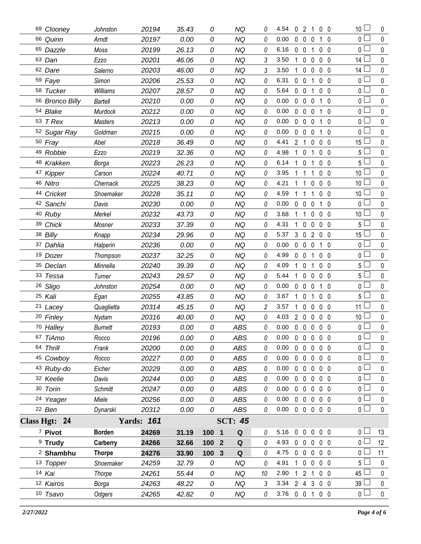| 69 Clooney           | Johnston       | 20194             | 35.43 | 0                | NQ             | 0              | 4.54           |              | $0 \t2 \t1$                |                   | 0 <sub>0</sub> | 10 <sup>1</sup> | 0           |
|----------------------|----------------|-------------------|-------|------------------|----------------|----------------|----------------|--------------|----------------------------|-------------------|----------------|-----------------|-------------|
| 66 Quinn             | Arndt          | 20197             | 0.00  | 0                | <b>NQ</b>      | 0              | 0.00           | $\mathbf 0$  | $\mathbf 0$<br>0           | $\mathbf{1}$      | $\overline{0}$ | 0 <sup>1</sup>  | $\mathbf 0$ |
| 65 Dazzle            | Moss           | 20199             | 26.13 | 0                | <b>NQ</b>      | 0              | 6.16           | $\mathbf 0$  | $\mathbf 0$<br>1           |                   | 0 <sub>0</sub> | 0 L             | $\pmb{0}$   |
| 63 Dan               | Ezzo           | 20201             | 46.06 | 0                | <b>NQ</b>      | 3              | 3.50           | 1            | $\mathbf 0$<br>0           |                   | $0\quad 0$     | 14 $\Box$       | $\pmb{0}$   |
| 62 Dare              | Salerno        | 20203             | 46.00 | 0                | <b>NQ</b>      | 3              | 3.50           | 1            | $\mathbf 0$<br>$\mathbf 0$ |                   | 0 <sub>0</sub> | 14 <sup>1</sup> | 0           |
| 59 Faye              | Simon          | 20206             | 25.53 | 0                | <b>NQ</b>      | 0              | 6.31           | $\mathbf 0$  | $\mathbf 0$<br>1           |                   | $0\quad 0$     | 0 L             | $\pmb{0}$   |
| 58 Tucker            | Williams       | 20207             | 28.57 | 0                | <b>NQ</b>      | 0              | 5.64           | $0\quad 0$   | 1                          |                   | $0\quad 0$     | $\mathbf{0}$    | 0           |
| 56 Bronco Billy      | Bartell        | 20210             | 0.00  | 0                | <b>NQ</b>      | 0              | 0.00           | $\mathbf 0$  | $\mathbf 0$<br>0           | $\mathbf 1$       | $\mathbf 0$    | 0 <sub>1</sub>  | $\pmb{0}$   |
| 54 Blake             | Murdock        | 20212             | 0.00  | 0                | <b>NQ</b>      | 0              | 0.00           | $\mathbf{0}$ | $\mathbf 0$<br>0           |                   | $1\quad0$      | 0               | $\pmb{0}$   |
| 53 T Rex             | <b>Masters</b> | 20213             | 0.00  | 0                | <b>NQ</b>      | 0              | 0.00           | $\mathbf 0$  | $\mathbf 0$<br>0           | $\mathbf{1}$      | $\mathbf 0$    | 0 <sub>1</sub>  | $\pmb{0}$   |
| 52 Sugar Ray         | Goldman        | 20215             | 0.00  | 0                | <b>NQ</b>      | 0              | 0.00           | $\mathbf{0}$ | $\mathbf 0$<br>0           | 1                 | $\mathbf 0$    | 0 <sup>L</sup>  | 0           |
| 50 Fray              | Abel           | 20218             | 36.49 | 0                | <b>NQ</b>      | 0              | 4.41           | 2            | 0<br>$\overline{1}$        |                   | $0\quad 0$     | 15              | $\pmb{0}$   |
| 49 Robbie            | Ezzo           | 20219             | 32.36 | 0                | <b>NQ</b>      | 0              | 4.98           | $\mathbf{1}$ | $\mathbf 0$<br>1           |                   | $0\quad 0$     | 5 <sup>1</sup>  | 0           |
| 48 Krakken           | Borga          | 20223             | 26.23 | 0                | <b>NQ</b>      | 0              | 6.14           | 1            | $\mathbf 0$<br>1           |                   | 0 <sub>0</sub> | 5 <sub>1</sub>  | $\pmb{0}$   |
| 47 Kipper            | Carson         | 20224             | 40.71 | 0                | <b>NQ</b>      | 0              | 3.95           | 1            | $\mathbf{1}$<br>1          |                   | $0\quad 0$     | 10 <sup>1</sup> | 0           |
| 46 Nitro             | Chernack       | 20225             | 38.23 | 0                | <b>NQ</b>      | 0              | 4.21           |              | 0<br>1                     |                   | $0\quad 0$     | 10 <sup>°</sup> | $\pmb{0}$   |
| 44 Cricket           | Shoemaker      | 20228             | 35.11 | 0                | <b>NQ</b>      | 0              | 4.59           | 1            | 1<br>1                     |                   | 0 <sub>0</sub> | 10 <sup>°</sup> | $\mathbf 0$ |
| 42 Sanchi            | Davis          | 20230             | 0.00  | 0                | <b>NQ</b>      | 0              | 0.00           | $\mathbf 0$  | $\mathbf 0$<br>0           | $\mathbf{1}$      | $\overline{0}$ | 0 L             | $\pmb{0}$   |
| 40 Ruby              | Merkel         | 20232             | 43.73 | 0                | <b>NQ</b>      | 0              | 3.68           | 1            | 1<br>0                     |                   | 0 <sub>0</sub> | 10 <sup>°</sup> | 0           |
| 39 Chick             | Mosner         | 20233             | 37.39 | 0                | <b>NQ</b>      | 0              | 4.31           | 1            | $\mathbf 0$<br>0           |                   | $0\quad 0$     | $5\iota$        | $\mathbf 0$ |
| 38 Billy             | Knapp          | 20234             | 29.96 | 0                | <b>NQ</b>      | 0              | 5.37           |              | 302                        |                   | $0\quad 0$     | 15 <sup>1</sup> | $\mathbf 0$ |
| 37 Dahlia            | Halperin       | 20236             | 0.00  | 0                | <b>NQ</b>      | 0              | 0.00           | $\mathbf 0$  | $\mathbf 0$<br>$\mathbf 0$ |                   | $1\quad 0$     | 0 <sub>1</sub>  | $\pmb{0}$   |
| 19 Dozer             | Thompson       | 20237             | 32.25 | 0                | <b>NQ</b>      | 0              | 4.99           | $0\quad 0$   | 1                          |                   | 0 <sub>0</sub> | 0 L             | $\mathbf 0$ |
| 35 Declan            | Minnella       | 20240             | 39.39 | 0                | <b>NQ</b>      | 0              | 4.09           | $1\quad0$    | 1                          |                   | 0 <sub>0</sub> | 5 <sub>1</sub>  | $\pmb{0}$   |
| 33 Tessa             | Turner         | 20243             | 29.57 | 0                | <b>NQ</b>      | 0              | 5.44           | 1            | $\mathbf 0$<br>0           |                   | 0 <sub>0</sub> | 5 <sup>1</sup>  | 0           |
| 26 Sligo             | Johnston       | 20254             | 0.00  | 0                | <b>NQ</b>      | 0              | 0.00           | 0            | $\mathbf 0$<br>0           | $\mathbf{1}$      | - 0            | 0 <sup>1</sup>  | $\mathbf 0$ |
| 25 Kali              | Egan           | 20255             | 43.85 | 0                | <b>NQ</b>      | 0              | 3.67           | $\mathbf{1}$ | $\mathbf 0$<br>1           |                   | $0\quad 0$     | 5 <sup>1</sup>  | $\mathbf 0$ |
| <sup>21</sup> Lacey  | Quaglietta     | 20314             | 45.15 | 0                | <b>NQ</b>      | $\overline{c}$ | 3.57           | $\mathbf{1}$ | $\mathbf 0$<br>0           |                   | $0\quad 0$     | $11 \Box$       | $\pmb{0}$   |
| 20 Finley            | Nydam          | 20316             | 40.00 | 0                | <b>NQ</b>      | 0              | 4.03           | $2\quad0$    | 0                          |                   | 0 <sub>0</sub> | 10 <sup>°</sup> | $\pmb{0}$   |
| 70 Halley            | <b>Burnett</b> | 20193             | 0.00  | 0                | <b>ABS</b>     | 0              | 0.00           | $\mathbf 0$  | $\mathbf 0$                | $0\quad 0\quad 0$ |                | $\overline{0}$  | $\mathbf 0$ |
| 67 TiAmo             | Rocco          | 20196             | 0.00  | 0                | ABS            | 0              | 0.00           | 0            | $\mathbf 0$<br>$\mathbf 0$ | $0\quad 0$        |                | 0 <sub>l</sub>  | 0           |
| 64 Thrill            | Frank          | 20200             | 0.00  | 0                | <b>ABS</b>     | 0              | 0.00           | $0\quad 0$   | $\mathbf 0$                |                   | $0\quad 0$     | $\overline{0}$  | $\mathbf 0$ |
| 45 Cowboy            | Rocco          | 20227             | 0.00  | 0                | <b>ABS</b>     | 0              | 0.00           | $0\quad 0$   | $\mathbf 0$                |                   | $0\quad 0$     | 0 L             | 0           |
| 43 Ruby-do           | Eicher         | 20229             | 0.00  | 0                | <b>ABS</b>     | 0              | 0.00           | $0\quad 0$   | $\mathbf 0$                |                   | $0\quad 0$     | 0 <sub>0</sub>  | $\mathbf 0$ |
| 32 Keelie            | Davis          | 20244             | 0.00  | 0                | <b>ABS</b>     | 0              | 0.00           | $0\quad 0$   | 0                          |                   | $0\quad 0$     | 0 L             | 0           |
| 30 Torin             | <b>Schmitt</b> | 20247             | 0.00  | 0                | ABS            | 0              | 0.00           | $0\quad 0$   | $\mathbf 0$                |                   | $0\quad 0$     | 0 <sup>1</sup>  | $\mathbf 0$ |
| 24 Yeager            | Miele          | 20256             | 0.00  | 0                | ABS            | 0              | 0.00           | $0\quad 0$   | $\mathbf 0$                |                   | $0\quad 0$     | 0 L             | 0           |
| 22 Ben               | Dynarski       | 20312             | 0.00  | 0                | ABS            | 0              | 0.00           |              | 00000                      |                   |                | 0 <sub>0</sub>  | $\mathbf 0$ |
| Class Hgt: 24        |                | <b>Yards: 161</b> |       |                  | <b>SCT: 45</b> |                |                |              |                            |                   |                |                 |             |
| 7 Pivot              | <b>Borden</b>  | 24269             | 31.19 | 100 1            | Q              | 0              | 5.16           | $0\quad 0$   |                            | $0\quad 0\quad 0$ |                | 0 L             | 13          |
| $9$ Trudy            | Carberry       | 24266             | 32.66 | 100 <sub>2</sub> | Q              | 0              | 4.93           |              | $0\quad 0\quad 0$          |                   | $0\quad 0$     | 0 <sup>2</sup>  | 12          |
| <sup>2</sup> Shambhu | <b>Thorpe</b>  | 24276             | 33.90 | 100 <sub>3</sub> | Q              | 0              | 4.75           |              | 00000                      |                   |                | 0 L             | 11          |
| 13 Topper            | Shoemaker      | 24259             | 32.79 | 0                | <b>NQ</b>      | 0              | 4.91           |              | $1 0 0$                    |                   | $0\quad 0$     | 5 <sub>1</sub>  | $\pmb{0}$   |
| 14 Kai               | Thorpe         | 24261             | 55.44 | 0                | <b>NQ</b>      | 10             | 2.90           |              | $121$                      |                   | $0\quad 0$     | 45              | 0           |
| 12 Kairos            | Borga          | 24263             | 48.22 | 0                | <b>NQ</b>      | 3              | 3.34           |              | 243                        |                   | $0\quad 0$     | 39              | $\pmb{0}$   |
| 10 Tsavo             | Odgers         | 24265             | 42.82 | 0                | NQ             | 0              | 3.76 0 0 1 0 0 |              |                            |                   |                | 0 <sub>0</sub>  | $\pmb{0}$   |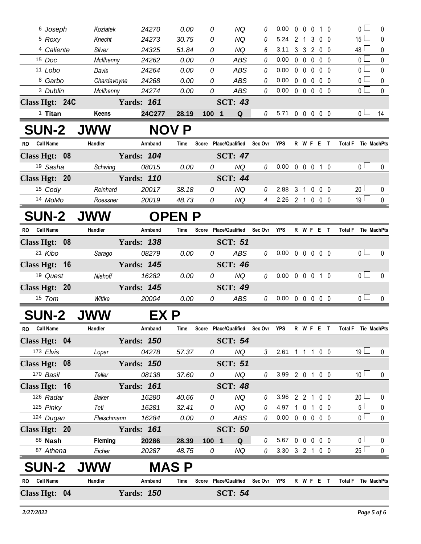|           | <sup>6</sup> Joseph   | Koziatek    | 24270             | 0.00         | 0                                 | NQ                     | 0              | 0.00                       |                |                   |             | 00010             | $\overline{0}$        | 0                |
|-----------|-----------------------|-------------|-------------------|--------------|-----------------------------------|------------------------|----------------|----------------------------|----------------|-------------------|-------------|-------------------|-----------------------|------------------|
|           | <sup>5</sup> Roxy     | Knecht      | 24273             | 30.75        | 0                                 | NQ                     | 0              | 5.24                       | $\overline{2}$ | $\overline{1}$    |             | 3 0 0             | $15\square$           | 0                |
|           | <sup>4</sup> Caliente | Silver      | 24325             | 51.84        | 0                                 | <b>NQ</b>              | 6              | 3.11                       |                |                   |             | 3 3 2 0 0         | $48 \Box$             | 0                |
|           | 15 Doc                | McIlhenny   | 24262             | 0.00         | 0                                 | <b>ABS</b>             | 0              | 0.00                       |                | $0\quad 0$        | $\mathbf 0$ | $0\quad 0$        | 0 <sub>0</sub>        | $\pmb{0}$        |
|           | 11 Lobo               | Davis       | 24264             | 0.00         | 0                                 | ABS                    | 0              | 0.00                       |                | $0\quad 0$        | $\mathbf 0$ | $0\quad 0$        | $\overline{0}$        | 0                |
|           | 8 Garbo               | Chardavoyne | 24268             | 0.00         | 0                                 | <b>ABS</b>             | 0              | 0.00                       |                | $0\quad 0$        | $\mathbf 0$ | 0 <sub>0</sub>    | $\overline{0}$        | $\mathbf 0$      |
|           | 3 Dublin              | McIlhenny   | 24274             | 0.00         | 0                                 | <b>ABS</b>             | 0              | 0.00                       |                | $0\quad 0\quad 0$ |             | $0\quad 0$        | $\overline{0}$ $\Box$ | $\mathbf 0$      |
|           | Class Hgt: 24C        |             | <b>Yards: 161</b> |              |                                   | <b>SCT: 43</b>         |                |                            |                |                   |             |                   |                       |                  |
|           | $1$ Titan             | Keens       | 24C277            | 28.19        | 100 1                             | Q                      | 0              | 5.71 0 0 0 0 0             |                |                   |             |                   | 0 <sub>1</sub>        | 14               |
|           | <b>SUN-2 JWW</b>      |             |                   | <b>NOV P</b> |                                   |                        |                |                            |                |                   |             |                   |                       |                  |
|           | RO Call Name          | Handler     | Armband           | Time         | Score Place/Qualified Sec Ovr YPS |                        |                |                            |                |                   |             | R W F E T         | Total F Tie MachPts   |                  |
|           | Class Hgt: 08         |             | <b>Yards: 104</b> |              |                                   | <b>SCT: 47</b>         |                |                            |                |                   |             |                   |                       |                  |
|           | 19 Sasha              | Schwing     | 08015             | 0.00         | 0                                 | <b>NQ</b>              | 0              | $0.00 \t0 \t0 \t0 \t1 \t0$ |                |                   |             |                   | 0 <sub>0</sub>        | $\mathbf 0$      |
|           | Class Hgt: 20         |             | <b>Yards: 110</b> |              |                                   | <b>SCT: 44</b>         |                |                            |                |                   |             |                   |                       |                  |
|           | 15 Cody               | Reinhard    | 20017             | 38.18        | 0                                 | <b>NQ</b>              | 0              | 2.88                       | $3 \quad 1$    |                   |             | $0\quad 0\quad 0$ | $20 \Box$             | 0                |
|           | 14 MoMo               | Roessner    | 20019             | 48.73        | $\mathcal{O}$                     | NQ                     | $\overline{4}$ | 2.26 2 1 0 0 0             |                |                   |             |                   | 19 <sup>1</sup>       | $\mathbf 0$      |
|           | <b>SUN-2</b>          | <b>JWW</b>  |                   | <b>OPENP</b> |                                   |                        |                |                            |                |                   |             |                   |                       |                  |
| <b>RO</b> | <b>Call Name</b>      | Handler     | Armband           | Time         | Score Place/Qualified             |                        | Sec Ovr        | YPS                        |                |                   |             | <b>RWFET</b>      | <b>Total F</b>        | Tie MachPts      |
|           | Class Hgt: 08         |             | <b>Yards: 138</b> |              |                                   | <b>SCT: 51</b>         |                |                            |                |                   |             |                   |                       |                  |
|           | 21 Kibo               | Sarago      | 08279             | 0.00         | 0                                 | ABS                    | 0              | 0.00                       |                |                   |             | 00000             | 0 <sub>0</sub>        | 0                |
|           | Class Hgt: 16         |             | <b>Yards: 145</b> |              |                                   | <b>SCT: 46</b>         |                |                            |                |                   |             |                   |                       |                  |
|           | 19 Quest              | Niehoff     | 16282             | 0.00         | 0                                 | NQ                     | 0              | $0.00 \t0 \t0 \t0 \t1 \t0$ |                |                   |             |                   | 0 <sub>0</sub>        | $\pmb{0}$        |
|           | Class Hgt: 20         |             | <b>Yards: 145</b> |              |                                   | <b>SCT: 49</b>         |                |                            |                |                   |             |                   |                       |                  |
|           | 15 Tom                | Wittke      | 20004             | 0.00         | 0                                 | ABS                    | $\theta$       | $0.00 \t0 \t0 \t0 \t0$     |                |                   |             |                   | 0 <sub>0</sub>        | 0                |
|           | <b>SUN-2</b>          | <b>JWW</b>  | EX P              |              |                                   |                        |                |                            |                |                   |             |                   |                       |                  |
| RO D      | <b>Call Name</b>      | Handler     | Armband           | Time         | Score                             | <b>Place/Qualified</b> | Sec Ovr        | YPS                        |                | R W F             | E,          | $\mathbf{T}$      | Total F Tie MachPts   |                  |
|           | Class Hgt: 04         |             | <b>Yards: 150</b> |              |                                   | <b>SCT: 54</b>         |                |                            |                |                   |             |                   |                       |                  |
|           | 173 Elvis             | Loper       | 04278             | 57.37        | 0                                 | <b>NQ</b>              | 3              | 2.61 1 1 1 0 0             |                |                   |             |                   | $19 \Box$             | $\pmb{0}$        |
|           | Class Hgt: 08         |             | <b>Yards: 150</b> |              |                                   | <b>SCT: 51</b>         |                |                            |                |                   |             |                   |                       |                  |
|           | 170 Basil             | Teller      | 08138             | 37.60        | 0                                 | NQ                     | 0              | 3.99 2 0 1 0 0             |                |                   |             |                   | 10 <sup>1</sup>       | $\pmb{0}$        |
|           | Class Hgt: 16         |             | <b>Yards: 161</b> |              |                                   | <b>SCT: 48</b>         |                |                            |                |                   |             |                   |                       |                  |
|           | 126 Radar             | Baker       | 16280             | 40.66        | 0                                 | NQ                     | 0              | 3.96 2 2 1 0 0             |                |                   |             |                   | $20$ $\Box$           | $\boldsymbol{0}$ |
|           | 125 Pinky             | Teti        | 16281             | 32.41        | 0                                 | <b>NQ</b>              | 0              | 4.97                       |                |                   |             | 1 0 1 0 0         | 5 <sub>1</sub>        | $\pmb{0}$        |
|           | 124 Dugan             | Fleischmann | 16284             | 0.00         | 0                                 | ABS                    | 0              | $0.00 \t0 \t0 \t0 \t0 \t0$ |                |                   |             |                   | 0 <sup>1</sup>        | $\pmb{0}$        |
|           | Class Hgt: 20         |             | <b>Yards: 161</b> |              |                                   | <b>SCT: 50</b>         |                |                            |                |                   |             |                   |                       |                  |
|           | 88 <b>Nash</b>        | Fleming     | 20286             | 28.39        | 100 1                             | Q                      | 0              | 5.67                       |                |                   |             | 00000             | 0 <sup>1</sup>        | 0                |
|           | 87 Athena             | Eicher      | 20287             | 48.75        | 0                                 | <b>NQ</b>              | $\mathcal{O}$  | 3.30 3 2 1 0 0             |                |                   |             |                   | $25 \Box$             | $\pmb{0}$        |
|           | <b>SUN-2</b>          | <b>JWW</b>  |                   | <b>MAS P</b> |                                   |                        |                |                            |                |                   |             |                   |                       |                  |
|           | RO Call Name          | Handler     | Armband           | Time         | Score                             | <b>Place/Qualified</b> | Sec Ovr        | YPS                        |                |                   |             | R W F E T         | <b>Total F</b>        | Tie MachPts      |
|           | Class Hgt: 04         |             | <b>Yards: 150</b> |              |                                   | <b>SCT: 54</b>         |                |                            |                |                   |             |                   |                       |                  |